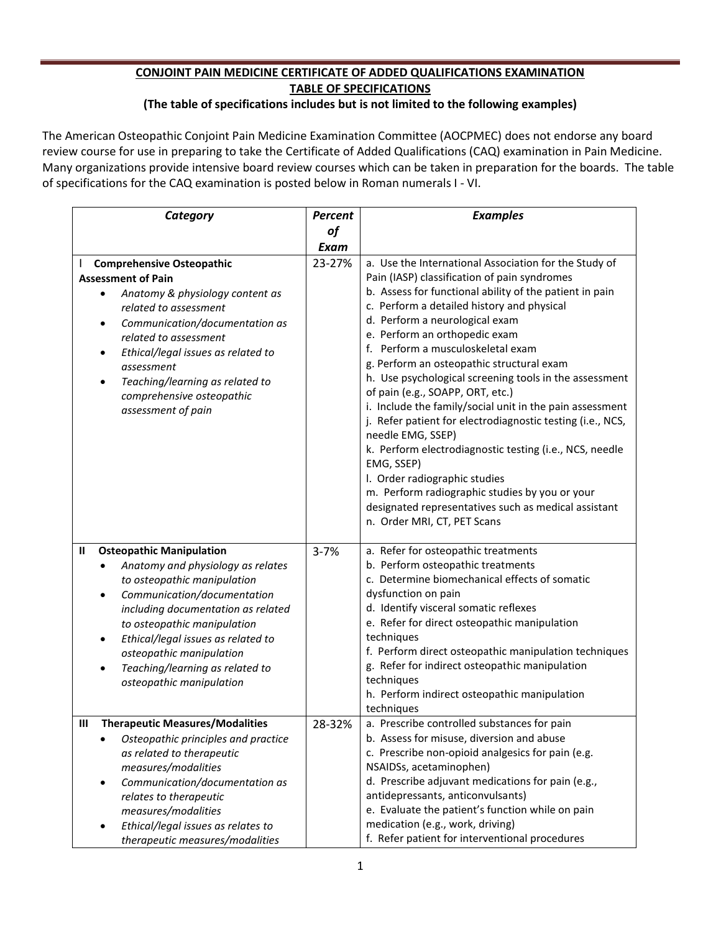## **CONJOINT PAIN MEDICINE CERTIFICATE OF ADDED QUALIFICATIONS EXAMINATION TABLE OF SPECIFICATIONS**

## **(The table of specifications includes but is not limited to the following examples)**

The American Osteopathic Conjoint Pain Medicine Examination Committee (AOCPMEC) does not endorse any board review course for use in preparing to take the Certificate of Added Qualifications (CAQ) examination in Pain Medicine. Many organizations provide intensive board review courses which can be taken in preparation for the boards. The table of specifications for the CAQ examination is posted below in Roman numerals I - VI.

| Category                                                                                                                                                                                                                                                                                                                                                                             | <b>Percent</b> | <b>Examples</b>                                                                                                                                                                                                                                                                                                                                                                                                                                                                                                                                                                                                                                                                                                                                                                                                                                                     |
|--------------------------------------------------------------------------------------------------------------------------------------------------------------------------------------------------------------------------------------------------------------------------------------------------------------------------------------------------------------------------------------|----------------|---------------------------------------------------------------------------------------------------------------------------------------------------------------------------------------------------------------------------------------------------------------------------------------------------------------------------------------------------------------------------------------------------------------------------------------------------------------------------------------------------------------------------------------------------------------------------------------------------------------------------------------------------------------------------------------------------------------------------------------------------------------------------------------------------------------------------------------------------------------------|
|                                                                                                                                                                                                                                                                                                                                                                                      | of             |                                                                                                                                                                                                                                                                                                                                                                                                                                                                                                                                                                                                                                                                                                                                                                                                                                                                     |
|                                                                                                                                                                                                                                                                                                                                                                                      | Exam           |                                                                                                                                                                                                                                                                                                                                                                                                                                                                                                                                                                                                                                                                                                                                                                                                                                                                     |
| <b>Comprehensive Osteopathic</b><br><b>Assessment of Pain</b><br>Anatomy & physiology content as<br>$\bullet$<br>related to assessment<br>Communication/documentation as<br>$\bullet$<br>related to assessment<br>Ethical/legal issues as related to<br>assessment<br>Teaching/learning as related to<br>$\bullet$<br>comprehensive osteopathic<br>assessment of pain                | 23-27%         | a. Use the International Association for the Study of<br>Pain (IASP) classification of pain syndromes<br>b. Assess for functional ability of the patient in pain<br>c. Perform a detailed history and physical<br>d. Perform a neurological exam<br>e. Perform an orthopedic exam<br>f. Perform a musculoskeletal exam<br>g. Perform an osteopathic structural exam<br>h. Use psychological screening tools in the assessment<br>of pain (e.g., SOAPP, ORT, etc.)<br>i. Include the family/social unit in the pain assessment<br>j. Refer patient for electrodiagnostic testing (i.e., NCS,<br>needle EMG, SSEP)<br>k. Perform electrodiagnostic testing (i.e., NCS, needle<br>EMG, SSEP)<br>I. Order radiographic studies<br>m. Perform radiographic studies by you or your<br>designated representatives such as medical assistant<br>n. Order MRI, CT, PET Scans |
| <b>Osteopathic Manipulation</b><br>Ш<br>Anatomy and physiology as relates<br>to osteopathic manipulation<br>Communication/documentation<br>$\bullet$<br>including documentation as related<br>to osteopathic manipulation<br>Ethical/legal issues as related to<br>$\bullet$<br>osteopathic manipulation<br>Teaching/learning as related to<br>$\bullet$<br>osteopathic manipulation | $3 - 7%$       | a. Refer for osteopathic treatments<br>b. Perform osteopathic treatments<br>c. Determine biomechanical effects of somatic<br>dysfunction on pain<br>d. Identify visceral somatic reflexes<br>e. Refer for direct osteopathic manipulation<br>techniques<br>f. Perform direct osteopathic manipulation techniques<br>g. Refer for indirect osteopathic manipulation<br>techniques<br>h. Perform indirect osteopathic manipulation<br>techniques                                                                                                                                                                                                                                                                                                                                                                                                                      |
| <b>Therapeutic Measures/Modalities</b><br>Ш<br>Osteopathic principles and practice<br>as related to therapeutic<br>measures/modalities<br>Communication/documentation as<br>$\bullet$<br>relates to therapeutic<br>measures/modalities<br>Ethical/legal issues as relates to<br>therapeutic measures/modalities                                                                      | 28-32%         | a. Prescribe controlled substances for pain<br>b. Assess for misuse, diversion and abuse<br>c. Prescribe non-opioid analgesics for pain (e.g.<br>NSAIDSs, acetaminophen)<br>d. Prescribe adjuvant medications for pain (e.g.,<br>antidepressants, anticonvulsants)<br>e. Evaluate the patient's function while on pain<br>medication (e.g., work, driving)<br>f. Refer patient for interventional procedures                                                                                                                                                                                                                                                                                                                                                                                                                                                        |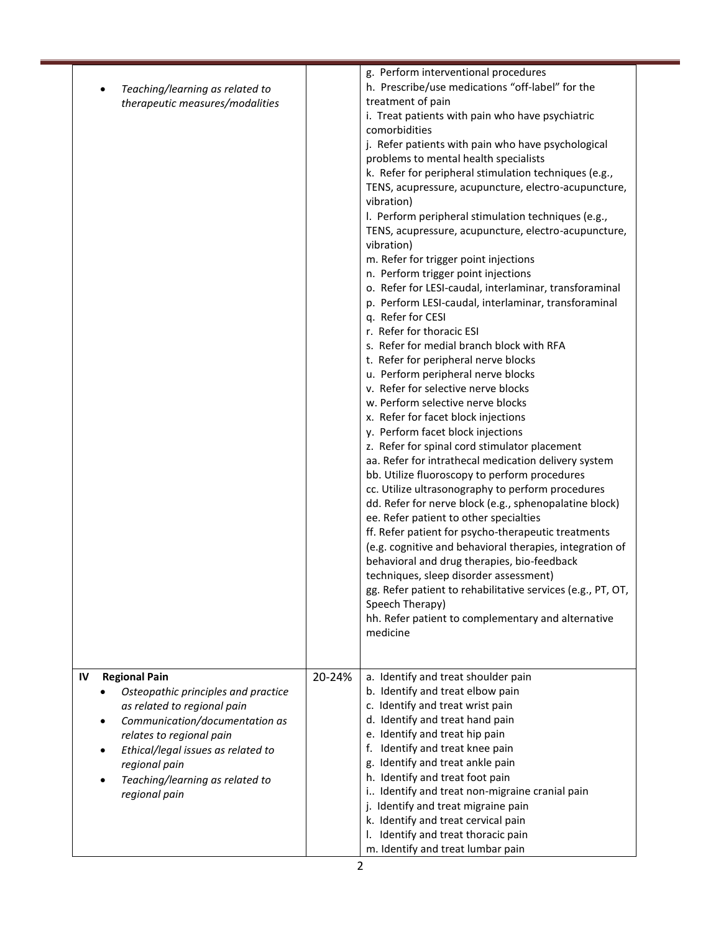| Teaching/learning as related to                                    |        | g. Perform interventional procedures<br>h. Prescribe/use medications "off-label" for the                                                                       |  |
|--------------------------------------------------------------------|--------|----------------------------------------------------------------------------------------------------------------------------------------------------------------|--|
| therapeutic measures/modalities                                    |        | treatment of pain<br>i. Treat patients with pain who have psychiatric<br>comorbidities                                                                         |  |
|                                                                    |        | j. Refer patients with pain who have psychological<br>problems to mental health specialists                                                                    |  |
|                                                                    |        | k. Refer for peripheral stimulation techniques (e.g.,<br>TENS, acupressure, acupuncture, electro-acupuncture,                                                  |  |
|                                                                    |        | vibration)<br>I. Perform peripheral stimulation techniques (e.g.,                                                                                              |  |
|                                                                    |        | TENS, acupressure, acupuncture, electro-acupuncture,<br>vibration)<br>m. Refer for trigger point injections                                                    |  |
|                                                                    |        | n. Perform trigger point injections                                                                                                                            |  |
|                                                                    |        | o. Refer for LESI-caudal, interlaminar, transforaminal<br>p. Perform LESI-caudal, interlaminar, transforaminal<br>q. Refer for CESI                            |  |
|                                                                    |        | r. Refer for thoracic ESI                                                                                                                                      |  |
|                                                                    |        | s. Refer for medial branch block with RFA<br>t. Refer for peripheral nerve blocks                                                                              |  |
|                                                                    |        | u. Perform peripheral nerve blocks                                                                                                                             |  |
|                                                                    |        | v. Refer for selective nerve blocks                                                                                                                            |  |
|                                                                    |        | w. Perform selective nerve blocks<br>x. Refer for facet block injections                                                                                       |  |
|                                                                    |        | y. Perform facet block injections                                                                                                                              |  |
|                                                                    |        | z. Refer for spinal cord stimulator placement                                                                                                                  |  |
|                                                                    |        | aa. Refer for intrathecal medication delivery system                                                                                                           |  |
|                                                                    |        | bb. Utilize fluoroscopy to perform procedures<br>cc. Utilize ultrasonography to perform procedures                                                             |  |
|                                                                    |        | dd. Refer for nerve block (e.g., sphenopalatine block)<br>ee. Refer patient to other specialties                                                               |  |
|                                                                    |        | ff. Refer patient for psycho-therapeutic treatments<br>(e.g. cognitive and behavioral therapies, integration of<br>behavioral and drug therapies, bio-feedback |  |
|                                                                    |        | techniques, sleep disorder assessment)                                                                                                                         |  |
|                                                                    |        | gg. Refer patient to rehabilitative services (e.g., PT, OT,<br>Speech Therapy)                                                                                 |  |
|                                                                    |        | hh. Refer patient to complementary and alternative<br>medicine                                                                                                 |  |
|                                                                    |        |                                                                                                                                                                |  |
| IV<br><b>Regional Pain</b>                                         | 20-24% | a. Identify and treat shoulder pain                                                                                                                            |  |
| Osteopathic principles and practice<br>as related to regional pain |        | b. Identify and treat elbow pain<br>c. Identify and treat wrist pain                                                                                           |  |
| Communication/documentation as                                     |        | d. Identify and treat hand pain                                                                                                                                |  |
| relates to regional pain                                           |        | e. Identify and treat hip pain                                                                                                                                 |  |
| Ethical/legal issues as related to                                 |        | f. Identify and treat knee pain                                                                                                                                |  |
| regional pain<br>Teaching/learning as related to                   |        | g. Identify and treat ankle pain<br>h. Identify and treat foot pain                                                                                            |  |
| regional pain                                                      |        | i Identify and treat non-migraine cranial pain                                                                                                                 |  |
|                                                                    |        | j. Identify and treat migraine pain                                                                                                                            |  |
|                                                                    |        | k. Identify and treat cervical pain                                                                                                                            |  |
|                                                                    |        | I. Identify and treat thoracic pain<br>m. Identify and treat lumbar pain                                                                                       |  |